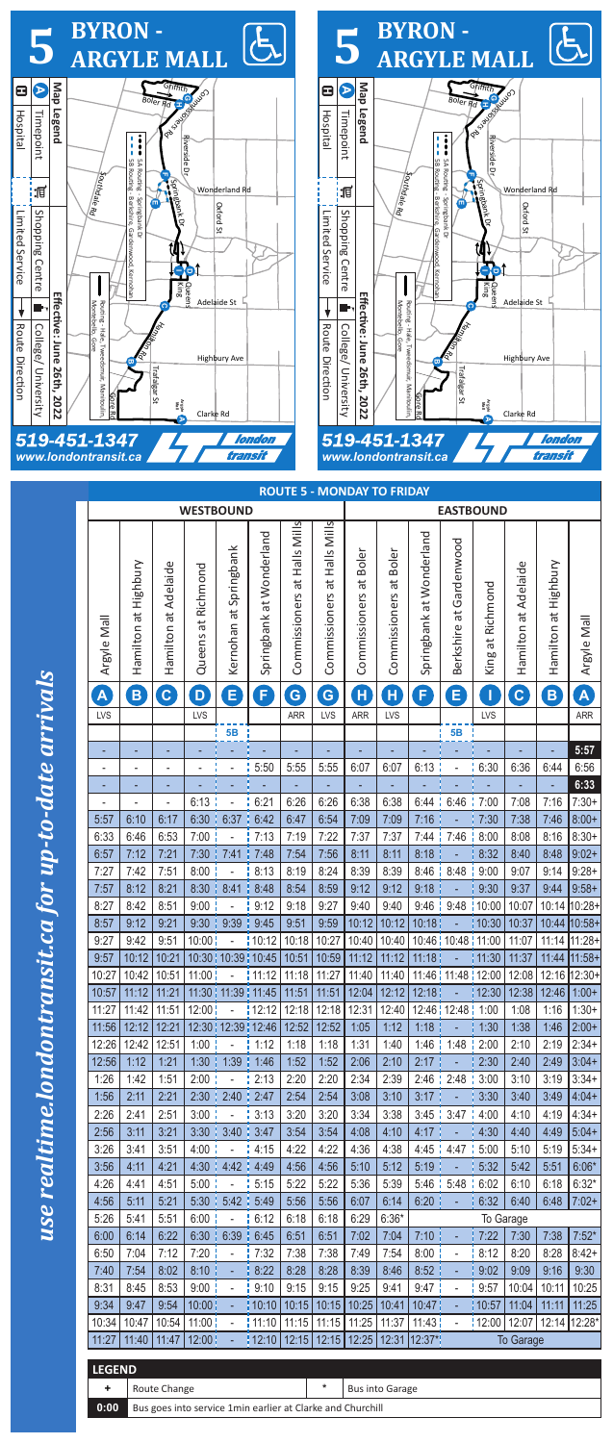

| <b>ROUTE 5 - MONDAY TO FRIDAY</b> |                      |                              |                       |                        |                               |                                 |                                 |                        |                           |                          |                              |                     |                         |                      |                            |  |
|-----------------------------------|----------------------|------------------------------|-----------------------|------------------------|-------------------------------|---------------------------------|---------------------------------|------------------------|---------------------------|--------------------------|------------------------------|---------------------|-------------------------|----------------------|----------------------------|--|
|                                   |                      |                              | <b>WESTBOUND</b>      |                        |                               |                                 |                                 | <b>EASTBOUND</b>       |                           |                          |                              |                     |                         |                      |                            |  |
| Argyle Mall                       | Hamilton at Highbury | Hamilton at Adelaide         | at Richmond<br>Queens | Kernohan at Springbank | Springbank at Wonderland      | at Halls Mills<br>Commissioners | at Halls Mills<br>Commissioners | Commissioners at Boler | at Boler<br>Commissioners | Springbank at Wonderland | Gardenwood<br>đ<br>Berkshire | at Richmond<br>King | Adelaide<br>Hamilton at | Hamilton at Highbury | Argyle Mall                |  |
| A                                 | $\mathbf{B}$         | $\mathbf{c}$                 | D                     | $\bm{\mathsf{E}}$      | $\blacklozenge$               | G                               | G                               | $\mathbf{H}$           | $\mathbf{H}$              | F                        | E                            | I                   | $\mathbf{C}$            | B                    | $\left[ \mathbf{A}\right]$ |  |
| LVS                               |                      |                              | LVS                   |                        |                               | <b>ARR</b>                      | <b>LVS</b>                      | <b>ARR</b>             | LVS                       |                          |                              | LVS                 |                         |                      | <b>ARR</b>                 |  |
|                                   |                      |                              |                       | <b>5B</b>              |                               |                                 |                                 |                        |                           |                          | 5B                           |                     |                         |                      |                            |  |
| ۰                                 |                      |                              |                       |                        |                               |                                 |                                 |                        |                           |                          |                              |                     |                         |                      | 5:57                       |  |
| $\overline{\phantom{a}}$          |                      | $\qquad \qquad \blacksquare$ |                       | ÷,                     | 5:50                          | 5:55                            | 5:55                            | 6:07                   | 6:07                      | 6:13                     | $\overline{\phantom{0}}$     | 6:30                | 6:36                    | 6:44                 | 6:56                       |  |
| ٠                                 |                      | ٠                            |                       |                        |                               |                                 |                                 |                        |                           |                          |                              |                     |                         |                      | 6:33                       |  |
| $\overline{\phantom{0}}$          |                      | ÷                            | 6:13                  |                        | 6:21                          | 6:26                            | 6:26                            | 6:38                   | 6:38                      | 6:44                     | 6:46                         | 7:00                | 7:08                    | 7:16                 | $7:30+$                    |  |
| 5:57                              | 6:10                 | 6:17                         | 6:30                  | 6:37                   | 6:42                          | 6:47                            | 6:54                            | 7:09                   | 7:09                      | 7:16                     |                              | 7:30                | 7:38                    | 7:46                 | $8:00+$                    |  |
| 6:33                              | 6:46                 | 6:53                         | 7:00                  |                        | 7:13                          | 7:19                            | 7:22                            | 7:37                   | 7:37                      | 7:44                     | ÷<br>7:46                    | 8:00                | 8:08                    | 8:16                 | $8:30+$                    |  |
| 6:57                              | 7:12                 | 7:21                         | 7:30                  | 7:41                   | 7:48                          | 7:54                            | 7:56                            | 8:11                   | 8:11                      | 8:18                     |                              | 8:32                | 8:40                    | 8:48                 | $9:02+$                    |  |
| 7:27                              | 7:42                 | 7:51                         | 8:00                  |                        | 8:13                          | 8:19                            | 8:24                            | 8:39                   | 8:39                      | 8:46                     | 8:48                         | 9:00                | 9:07                    | 9:14                 | $9:28+$                    |  |
| 7:57                              | 8:12                 | 8:21                         | 8:30                  | 8:41                   | 8:48                          | 8:54                            | 8:59                            | 9:12                   | 9:12                      | 9:18                     |                              | 9:30                | 9:37                    | 9:44                 | $9:58+$                    |  |
| 8:27                              | 8:42                 | 8:51                         | 9:00                  |                        | 9:12                          | 9:18                            | 9:27                            | 9:40                   | 9:40                      | 9:46<br>÷                | 9:48                         | 10:00               | 10:07                   | 10:14                | 10:28+                     |  |
| 8:57                              | 9:12                 | 9:21                         | 9:30                  | 9:39                   | 9:45                          | 9:51                            | 9:59                            | 10:12                  | 10:12                     | 10:18                    |                              | 10:30               | 10:37                   | 10:44                | $10:58+$                   |  |
| 9:27                              | 9:42                 | 9:51                         | 10:00                 |                        | 10:12                         | 10:18                           | 10:27                           | 10:40                  | 10:40                     |                          | 10:46   10:48   11:00        |                     | 11:07                   | 11:14                | 11:28+                     |  |
| 9:57                              | 10:12                | 10:21                        |                       | 10:30   10:39   10:45  |                               | 10:51                           | 10:59                           | 11:12                  | 11:12                     | 11:18                    |                              | 11:30               | 11:37                   | 11:44                | $11:58+$                   |  |
| 10:27                             | 10:42                | 10:51                        | 11:00                 |                        | 11:12                         | 11:18                           | 11:27                           | 11:40                  | 11:40                     |                          | 11:46   11:48   12:00        |                     | 12:08                   | 12:16                | 12:30+                     |  |
| 10:57                             | 11:12                | 11:21                        |                       | 11:30   11:39   11:45  |                               | 11:51                           | 11:51                           | 12:04                  | 12:12                     | 12:18                    |                              | 12:30               | 12:38                   | 12:46                | $1:00+$                    |  |
| 11:27                             | 11:42                | 11:51                        | 12:00                 |                        | 12:12                         | 12:18                           | 12:18                           | 12:31                  | 12:40                     |                          | 12:46   12:48                | 1:00                | 1:08                    | 1:16                 | $1:30+$                    |  |
| 11:56                             | 12:12                | 12:21                        |                       |                        | 12:30   12:39   12:46   12:52 |                                 | 12:52                           | 1:05                   | 1:12                      | 1:18                     |                              | 1:30                | 1:38                    | 1:46                 | $2:00+$                    |  |
| 12:26                             | 12:42                | 12:51                        | 1:00<br>÷             | $\blacksquare$         | ł.<br>1:12                    | 1:18                            | 1:18                            | 1:31                   | 1:40                      |                          | 1:46   1:48   2:00           |                     | 2:10                    | 2:19                 | $2:34+$                    |  |
| 12:56                             | 1:12                 | 1:21                         | 1:30:1                | 1:39                   | 1:46                          | 1:52                            | 1:52                            | 2:06                   | 2:10                      | 2:17                     |                              | 2:30                | 2:40                    | 2:49                 | $3:04+$                    |  |
| 1:26                              | 1:42                 | 1:51                         | 2:00                  | $\frac{1}{2}$          | 2:13                          | 2:20                            | 2:20                            | 2:34                   | 2:39                      |                          | $2:46$ $12:48$               | 3:00                | 3:10                    | 3:19                 | $3:34+$                    |  |
| 1:56                              | 2:11                 | 2:21                         |                       | 2:30   2:40            | 2:47                          | 2:54                            | 2:54                            | 3:08                   | 3:10                      | 3:17                     |                              | 3:30                | 3:40                    | 3:49                 | $4:04+$                    |  |
| 2:26                              | 2:41                 | 2:51                         | 3:00                  |                        | 3:13                          | 3:20                            | 3:20                            | 3:34                   | 3:38                      |                          | $3:45$ $:3:47$               | 4:00                | 4:10                    | 4:19                 | $4:34+$                    |  |
| 2:56                              | 3:11                 | 3:21                         | 3:30 <sup>1</sup>     | 3:40                   | 3:47                          | 3:54                            | 3:54                            | 4:08                   | 4:10                      | 4:17:                    |                              | 4:30                | 4:40                    | 4:49                 | $5:04+$                    |  |
| 3:26                              | 3:41                 | 3:51                         | 4:00                  | $\overline{a}$         | 4:15                          | 4:22                            | 4:22                            | 4:36                   | 4:38                      |                          | $4:45$ $4:47$                | 5:00                | 5:10                    | 5:19                 | $5:34+$                    |  |
| 3:56                              | 4:11                 | 4:21                         | 4:30<br>I.            | 4:42                   | 4:49                          | 4:56                            | 4:56                            | 5:10                   | 5:12                      | 5:19                     |                              | 5:32                | 5:42                    | 5:51                 | $6:06*$                    |  |
| 4:26                              | 4:41                 | 4:51                         | 5:00                  |                        | 5:15                          | 5:22                            | 5:22                            | 5:36                   | 5:39                      |                          | $5:46$ $15:48$               | 6:02                | 6:10                    | 6:18                 | $6:32*$                    |  |
| 4:56                              | 5:11                 | 5:21                         | $5:30$ $\frac{1}{2}$  | 5:42                   | 5:49                          | 5:56                            | 5:56                            | 6:07                   | 6:14                      | $6:20$ :                 |                              | 6:32                | 6:40                    | 6:48                 | $7:02+$                    |  |
| 5:26                              | 5:41                 | 5:51                         | 6:00                  | ÷,                     | 6:12                          | 6:18                            | 6:18                            | 6:29                   | $6:36*$                   |                          |                              |                     | To Garage               |                      |                            |  |
| 6:00                              | 6:14                 | 6:22                         |                       | $6:30$   $6:39$        | 6:45                          | 6:51                            | 6:51                            | 7:02                   | 7:04                      | $7:10$ :                 |                              | 7:22                | 7:30                    | 7:38                 | $7:52*$                    |  |
| 6:50                              | 7:04                 | 7:12                         | 7:20                  |                        | 7:32                          | 7:38                            | 7:38                            | 7:49                   | 7:54                      | 8:00 <sup>1</sup>        |                              | 8:12                | 8:20                    | 8:28                 | $8:42+$                    |  |
| 7:40                              | 7:54                 | 8:02                         | $8:10$ :              | ÷,                     | 8:22                          | 8:28                            | 8:28                            | 8:39                   | 8:46                      | $8:52$                   |                              | 9:02                | 9:09                    | 9:16                 | 9:30                       |  |
| 8:31                              | 8:45                 | 8:53                         | 9:00:                 | $\overline{a}$         | 9:10                          | 9:15                            | 9:15                            | 9:25                   | 9:41                      | 9:47                     | $\blacksquare$               | 9:57                | 10:04                   | 10:11                | 10:25                      |  |
| 9:34                              | 9:47                 | 9:54                         | 10:00                 |                        | 110:10                        | 10:15                           | 10:15                           | 10:25                  | 10:41                     | 10:47                    | ÷                            | 10:57               | 11:04                   | 11:11                | 11:25                      |  |
| 10:34                             | 10:47                | 10:54                        | 11:00                 |                        | : 11:10                       | 11:15                           | 11:15                           | 11:25                  | 11:37                     | 11:43!                   |                              | 12:00               | 12:07                   |                      | 12:14 12:28*               |  |
| 11:27                             | 11:40                | 11:47                        | 12:00                 |                        | 112:10                        | 12:15                           | 12:15                           | 12:25                  | 12:31                     | 12:37*                   |                              |                     | <b>To Garage</b>        |                      |                            |  |
|                                   |                      |                              |                       |                        |                               |                                 |                                 |                        |                           |                          |                              |                     |                         |                      |                            |  |
| <b>LEGEND</b>                     |                      |                              |                       |                        |                               |                                 |                                 |                        |                           |                          |                              |                     |                         |                      |                            |  |
| ٠                                 |                      | Route Change                 |                       |                        |                               |                                 | $\ast$                          |                        | <b>Bus into Garage</b>    |                          |                              |                     |                         |                      |                            |  |

## use realtime.l

**0:00** Bus goes into service 1min earlier at Clarke and Churchill

| <b>THE PAST</b> |  |
|-----------------|--|
|                 |  |
|                 |  |
|                 |  |
|                 |  |
|                 |  |
|                 |  |
|                 |  |
|                 |  |
|                 |  |
|                 |  |
|                 |  |
|                 |  |
|                 |  |
| <br> }<br>      |  |
|                 |  |
|                 |  |
|                 |  |
|                 |  |
|                 |  |
|                 |  |
|                 |  |
|                 |  |
|                 |  |
| -<br> <br>      |  |
|                 |  |
|                 |  |
|                 |  |
|                 |  |
|                 |  |
|                 |  |
|                 |  |
|                 |  |
|                 |  |
|                 |  |
|                 |  |
|                 |  |
|                 |  |
|                 |  |
|                 |  |
|                 |  |
|                 |  |
|                 |  |
|                 |  |
|                 |  |
|                 |  |
|                 |  |
|                 |  |
|                 |  |
|                 |  |
|                 |  |